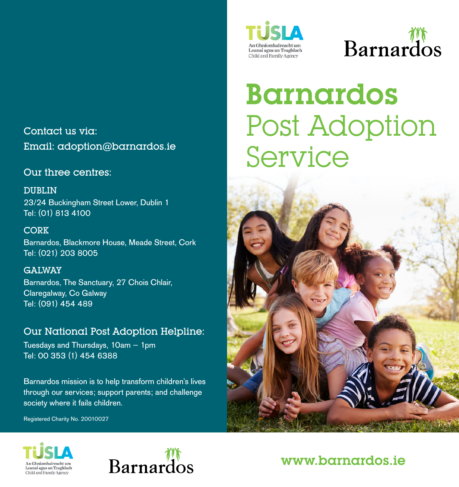Contact us via: Email: adoption@barnardos.ie

#### Our three centres:

DUBLIN 23/24 Buckingham Street Lower, Dublin 1 Tel: (01) 813 4100

**CORK** Barnardos, Blackmore House, Meade Street, Cork Tel: (021) 203 8005

GALWAY Barnardos, The Sanctuary, 27 Chois Chlair, Claregalway, Co Galway Tel: (091) 454 489

### Our National Post Adoption Helpline:

Tuesdays and Thursdays, 10am – 1pm Tel: 00 353 (1) 454 6388

Barnardos mission is to help transform children's lives through our services; support parents; and challenge society where it fails children.

Registered Charity No. 20010027



# **Barnardos**

# Barnardos Post Adoption Service







## www.barnardos.ie